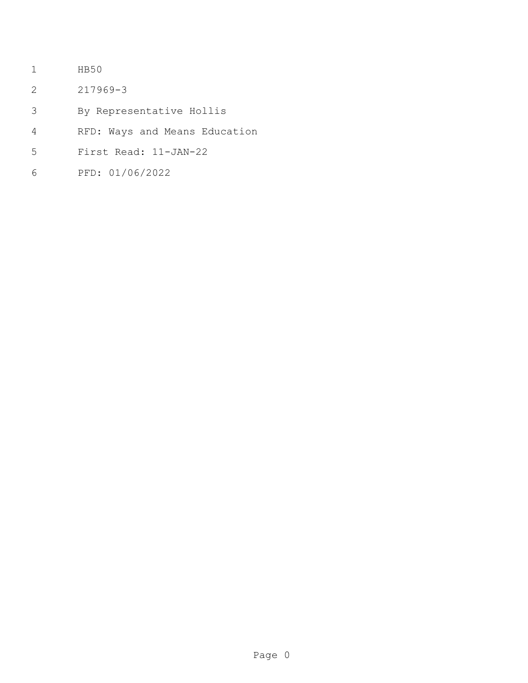- HB50
- 217969-3
- By Representative Hollis
- RFD: Ways and Means Education
- First Read: 11-JAN-22
- PFD: 01/06/2022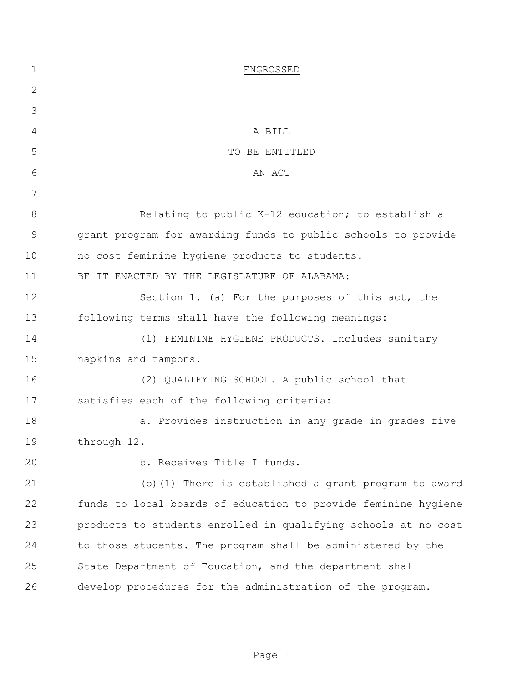| 1            | ENGROSSED                                                      |
|--------------|----------------------------------------------------------------|
| $\mathbf{2}$ |                                                                |
| 3            |                                                                |
| 4            | A BILL                                                         |
| 5            | TO BE ENTITLED                                                 |
| 6            | AN ACT                                                         |
| 7            |                                                                |
| 8            | Relating to public K-12 education; to establish a              |
| 9            | grant program for awarding funds to public schools to provide  |
| 10           | no cost feminine hygiene products to students.                 |
| 11           | BE IT ENACTED BY THE LEGISLATURE OF ALABAMA:                   |
| 12           | Section 1. (a) For the purposes of this act, the               |
| 13           | following terms shall have the following meanings:             |
| 14           | FEMININE HYGIENE PRODUCTS. Includes sanitary<br>(1)            |
| 15           | napkins and tampons.                                           |
| 16           | (2) QUALIFYING SCHOOL. A public school that                    |
| 17           | satisfies each of the following criteria:                      |
| 18           | a. Provides instruction in any grade in grades five            |
| 19           | through 12.                                                    |
| 20           | b. Receives Title I funds.                                     |
| 21           | (b) (1) There is established a grant program to award          |
| 22           | funds to local boards of education to provide feminine hygiene |
| 23           | products to students enrolled in qualifying schools at no cost |
| 24           | to those students. The program shall be administered by the    |
| 25           | State Department of Education, and the department shall        |
| 26           | develop procedures for the administration of the program.      |
|              |                                                                |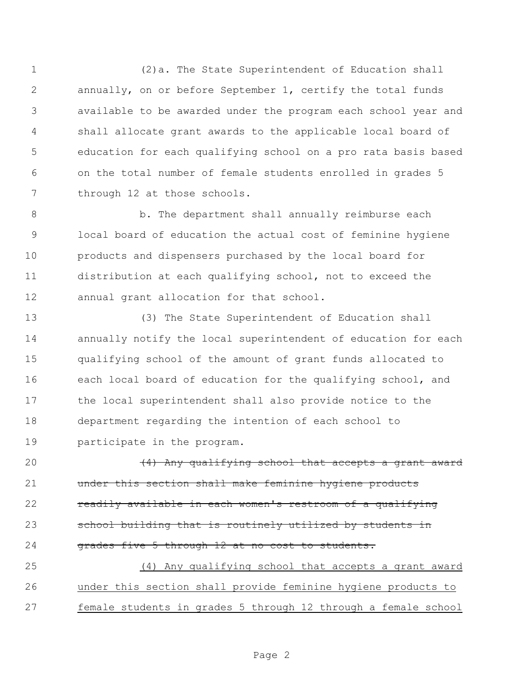(2)a. The State Superintendent of Education shall annually, on or before September 1, certify the total funds available to be awarded under the program each school year and shall allocate grant awards to the applicable local board of education for each qualifying school on a pro rata basis based on the total number of female students enrolled in grades 5 through 12 at those schools.

 b. The department shall annually reimburse each local board of education the actual cost of feminine hygiene products and dispensers purchased by the local board for distribution at each qualifying school, not to exceed the annual grant allocation for that school.

 (3) The State Superintendent of Education shall annually notify the local superintendent of education for each qualifying school of the amount of grant funds allocated to each local board of education for the qualifying school, and the local superintendent shall also provide notice to the department regarding the intention of each school to participate in the program.

 $(4)$  Any qualifying school that accepts a grant award under this section shall make feminine hygiene products 22 readily available in each women's restroom of a qualifying 23 school building that is routinely utilized by students in 24 grades five 5 through 12 at no cost to students.

 (4) Any qualifying school that accepts a grant award under this section shall provide feminine hygiene products to female students in grades 5 through 12 through a female school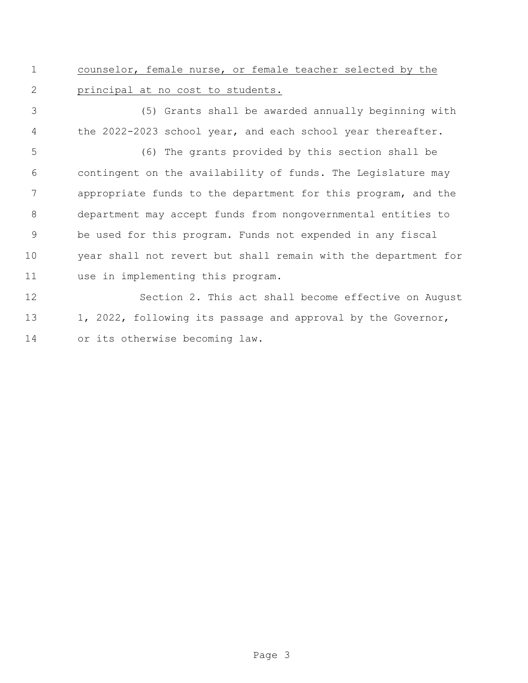counselor, female nurse, or female teacher selected by the principal at no cost to students.

 (5) Grants shall be awarded annually beginning with the 2022-2023 school year, and each school year thereafter.

 (6) The grants provided by this section shall be contingent on the availability of funds. The Legislature may appropriate funds to the department for this program, and the department may accept funds from nongovernmental entities to be used for this program. Funds not expended in any fiscal year shall not revert but shall remain with the department for use in implementing this program.

 Section 2. This act shall become effective on August 13 1, 2022, following its passage and approval by the Governor, or its otherwise becoming law.